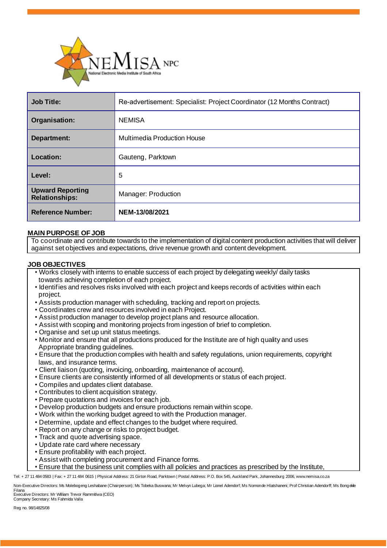

| <b>Job Title:</b>                                | Re-advertisement: Specialist: Project Coordinator (12 Months Contract) |
|--------------------------------------------------|------------------------------------------------------------------------|
| Organisation:                                    | <b>NEMISA</b>                                                          |
| <b>Department:</b>                               | <b>Multimedia Production House</b>                                     |
| Location:                                        | Gauteng, Parktown                                                      |
| Level:                                           | 5                                                                      |
| <b>Upward Reporting</b><br><b>Relationships:</b> | Manager: Production                                                    |
| <b>Reference Number:</b>                         | NEM-13/08/2021                                                         |

# **MAIN PURPOSE OF JOB**

To coordinate and contribute towards to the implementation of digital content production activities that will deliver against set objectives and expectations, drive revenue growth and content development.

## **JOB OBJECTIVES**

- Works closely with interns to enable success of each project by delegating weekly/ daily tasks towards achieving completion of each project.
- Identifies and resolves risks involved with each project and keeps records of activities within each project.
- Assists production manager with scheduling, tracking and report on projects.
- Coordinates crew and resources involved in each Project.
- Assist production manager to develop project plans and resource allocation.
- Assist with scoping and monitoring projects from ingestion of brief to completion.
- Organise and set up unit status meetings.
- Monitor and ensure that all productions produced for the Institute are of high quality and uses Appropriate branding guidelines.
- Ensure that the production complies with health and safety regulations, union requirements, copyright laws, and insurance terms.
- Client liaison (quoting, invoicing, onboarding, maintenance of account).
- Ensure clients are consistently informed of all developments or status of each project.
- Compiles and updates client database.
- Contributes to client acquisition strategy.
- Prepare quotations and invoices for each job.
- Develop production budgets and ensure productions remain within scope.
- Work within the working budget agreed to with the Production manager.
- Determine, update and effect changes to the budget where required.
- Report on any change or risks to project budget.
- Track and quote advertising space.
- Update rate card where necessary
- Ensure profitability with each project.
- Assist with completing procurement and Finance forms.
- Ensure that the business unit complies with all policies and practices as prescribed by the Institute,

Tel: + 27 11 484 0583 | Fax: + 27 11 484 0615 | Physical Address: 21 Girton Road, Parktown | Postal Address: P.O. Box 545, Auckland Park, Johannesburg 2006, www.nemisa.co.za

Non-Executive Directors: Ms Molebogeng Leshabane (Chairperson); Ms Tobeka Buswana; Mr Melvyn Lubega; Mr Lionel Adendorf; Ms Nomonde Hlatshaneni; Prof Christian Adendorff; Ms Bongekile

Filana Executive Directors: Mr William Trevor Rammitlwa (CEO) Company Secretary: Ms Fahmida Valla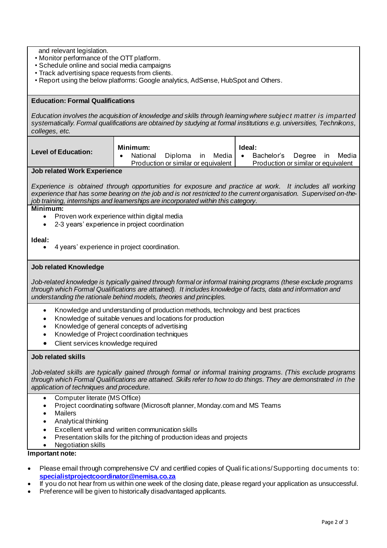and relevant legislation.

- Monitor performance of the OTT platform.
- Schedule online and social media campaigns
- Track advertising space requests from clients.
- Report using the below platforms: Google analytics, AdSense, HubSpot and Others.

# **Education: Formal Qualifications**

*Education involves the acquisition of knowledge and skills through learning where subject matter is imparted systematically. Formal qualifications are obtained by studying at formal institutions e.g. universities, Technikons, colleges, etc.*

| <b>Level of Education:</b> | Minimum: |                                     |         |    |       | Ideal:    |                                     |        |      |       |
|----------------------------|----------|-------------------------------------|---------|----|-------|-----------|-------------------------------------|--------|------|-------|
|                            |          | National                            | Diploma | ın | Media | $\bullet$ | Bachelor's                          | Dearee | - in | Media |
|                            |          | Production or similar or equivalent |         |    |       |           | Production or similar or equivalent |        |      |       |
|                            |          |                                     |         |    |       |           |                                     |        |      |       |

## **Job related Work Experience**

*Experience is obtained through opportunities for exposure and practice at work. It includes all working experience that has some bearing on the job and is not restricted to the current organisation. Supervised on-thejob training, internships and learnerships are incorporated within this category.*

# **Minimum:**

- Proven work experience within digital media
- 2-3 years' experience in project coordination

#### **Ideal:**

• 4 years' experience in project coordination.

# **Job related Knowledge**

*Job-related knowledge is typically gained through formal or informal training programs (these exclude programs through which Formal Qualifications are attained). It includes knowledge of facts, data and information and understanding the rationale behind models, theories and principles.*

- Knowledge and understanding of production methods, technology and best practices
- Knowledge of suitable venues and locations for production
- Knowledge of general concepts of advertising
- Knowledge of Project coordination techniques
- Client services knowledge required

## **Job related skills**

*Job-related skills are typically gained through formal or informal training programs. (This exclude programs through which Formal Qualifications are attained. Skills refer to how to do things. They are demonstrated in the application of techniques and procedure.*

- Computer literate (MS Office)
- Project coordinating software (Microsoft planner, Monday.com and MS Teams
- Mailers
- Analytical thinking
- Excellent verbal and written communication skills
- Presentation skills for the pitching of production ideas and projects
- Negotiation skills

# **Important note:**

- Please email through comprehensive CV and certified copies of Qualifications/Supporting documents to: **[specialistprojectcoordinator@nemisa.co.za](mailto:specialistprojectcoordinator@nemisa.co.za)**
- If you do not hear from us within one week of the closing date, please regard your application as unsuccessful.
- Preference will be given to historically disadvantaged applicants.